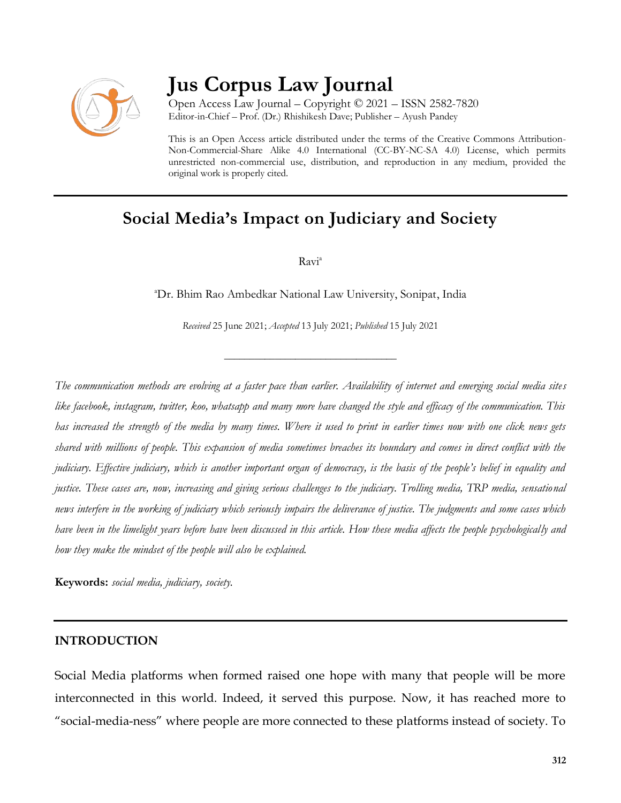

# **Jus Corpus Law Journal**

Open Access Law Journal – Copyright © 2021 – ISSN 2582-7820 Editor-in-Chief – Prof. (Dr.) Rhishikesh Dave; Publisher – Ayush Pandey

This is an Open Access article distributed under the terms of the Creative Commons Attribution-Non-Commercial-Share Alike 4.0 International (CC-BY-NC-SA 4.0) License, which permits unrestricted non-commercial use, distribution, and reproduction in any medium, provided the original work is properly cited.

## **Social Media's Impact on Judiciary and Society**

Ravi<sup>a</sup>

<sup>a</sup>Dr. Bhim Rao Ambedkar National Law University, Sonipat, India

*Received* 25 June 2021; *Accepted* 13 July 2021; *Published* 15 July 2021

\_\_\_\_\_\_\_\_\_\_\_\_\_\_\_\_\_\_\_\_\_\_\_\_\_\_\_\_\_\_\_\_\_\_

*The communication methods are evolving at a faster pace than earlier. Availability of internet and emerging social media sites like facebook, instagram, twitter, koo, whatsapp and many more have changed the style and efficacy of the communication. This has increased the strength of the media by many times. Where it used to print in earlier times now with one click news gets shared with millions of people. This expansion of media sometimes breaches its boundary and comes in direct conflict with the judiciary. Effective judiciary, which is another important organ of democracy, is the basis of the people's belief in equality and justice. These cases are, now, increasing and giving serious challenges to the judiciary. Trolling media, TRP media, sensational news interfere in the working of judiciary which seriously impairs the deliverance of justice. The judgments and some cases which have been in the limelight years before have been discussed in this article. How these media affects the people psychologically and how they make the mindset of the people will also be explained.* 

**Keywords:** *social media, judiciary, society.*

#### **INTRODUCTION**

Social Media platforms when formed raised one hope with many that people will be more interconnected in this world. Indeed, it served this purpose. Now, it has reached more to "social-media-ness" where people are more connected to these platforms instead of society. To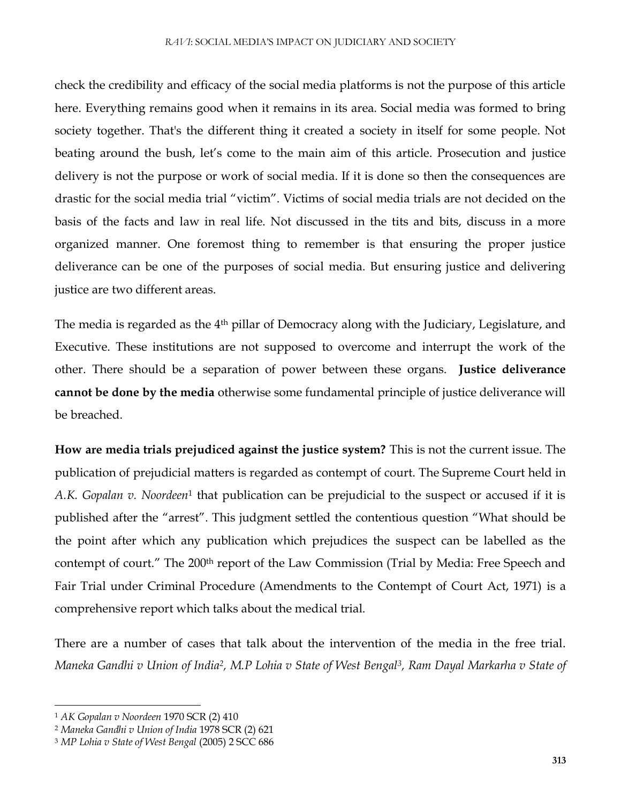check the credibility and efficacy of the social media platforms is not the purpose of this article here. Everything remains good when it remains in its area. Social media was formed to bring society together. That's the different thing it created a society in itself for some people. Not beating around the bush, let's come to the main aim of this article. Prosecution and justice delivery is not the purpose or work of social media. If it is done so then the consequences are drastic for the social media trial "victim". Victims of social media trials are not decided on the basis of the facts and law in real life. Not discussed in the tits and bits, discuss in a more organized manner. One foremost thing to remember is that ensuring the proper justice deliverance can be one of the purposes of social media. But ensuring justice and delivering justice are two different areas.

The media is regarded as the 4<sup>th</sup> pillar of Democracy along with the Judiciary, Legislature, and Executive. These institutions are not supposed to overcome and interrupt the work of the other. There should be a separation of power between these organs. **Justice deliverance cannot be done by the media** otherwise some fundamental principle of justice deliverance will be breached.

**How are media trials prejudiced against the justice system?** This is not the current issue. The publication of prejudicial matters is regarded as contempt of court. The Supreme Court held in A.K. Gopalan v. Noordeen<sup>1</sup> that publication can be prejudicial to the suspect or accused if it is published after the "arrest". This judgment settled the contentious question "What should be the point after which any publication which prejudices the suspect can be labelled as the contempt of court." The 200th report of the Law Commission (Trial by Media: Free Speech and Fair Trial under Criminal Procedure (Amendments to the Contempt of Court Act, 1971) is a comprehensive report which talks about the medical trial.

There are a number of cases that talk about the intervention of the media in the free trial. *Maneka Gandhi v Union of India<sup>2</sup> , M.P Lohia v State of West Bengal<sup>3</sup> , Ram Dayal Markarha v State of* 

 $\overline{\phantom{a}}$ 

<sup>1</sup> *AK Gopalan v Noordeen* 1970 SCR (2) 410

<sup>2</sup> *Maneka Gandhi v Union of India* 1978 SCR (2) 621

<sup>3</sup> *MP Lohia v State of West Bengal* (2005) 2 SCC 686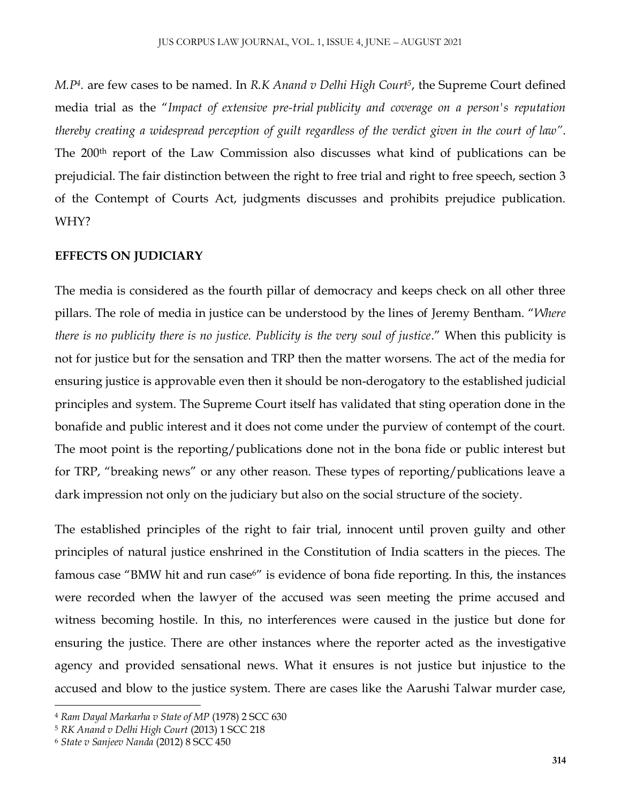*M.P<sup>4</sup> .* are few cases to be named. In *R.K Anand v Delhi High Court<sup>5</sup>* , the Supreme Court defined media trial as the "*Impact of extensive pre-trial publicity and coverage on a person's reputation thereby creating a widespread perception of guilt regardless of the verdict given in the court of law"*. The 200<sup>th</sup> report of the Law Commission also discusses what kind of publications can be prejudicial. The fair distinction between the right to free trial and right to free speech, section 3 of the Contempt of Courts Act, judgments discusses and prohibits prejudice publication. WHY?

### **EFFECTS ON JUDICIARY**

The media is considered as the fourth pillar of democracy and keeps check on all other three pillars. The role of media in justice can be understood by the lines of Jeremy Bentham. "*Where there is no publicity there is no justice. Publicity is the very soul of justice*." When this publicity is not for justice but for the sensation and TRP then the matter worsens. The act of the media for ensuring justice is approvable even then it should be non-derogatory to the established judicial principles and system. The Supreme Court itself has validated that sting operation done in the bonafide and public interest and it does not come under the purview of contempt of the court. The moot point is the reporting/publications done not in the bona fide or public interest but for TRP, "breaking news" or any other reason. These types of reporting/publications leave a dark impression not only on the judiciary but also on the social structure of the society.

The established principles of the right to fair trial, innocent until proven guilty and other principles of natural justice enshrined in the Constitution of India scatters in the pieces. The famous case "BMW hit and run case<sup>6"</sup> is evidence of bona fide reporting. In this, the instances were recorded when the lawyer of the accused was seen meeting the prime accused and witness becoming hostile. In this, no interferences were caused in the justice but done for ensuring the justice. There are other instances where the reporter acted as the investigative agency and provided sensational news. What it ensures is not justice but injustice to the accused and blow to the justice system. There are cases like the Aarushi Talwar murder case,

 $\overline{\phantom{a}}$ 

<sup>4</sup> *Ram Dayal Markarha v State of MP* (1978) 2 SCC 630

<sup>5</sup> *RK Anand v Delhi High Court* (2013) 1 SCC 218

<sup>6</sup> *State v Sanjeev Nanda* (2012) 8 SCC 450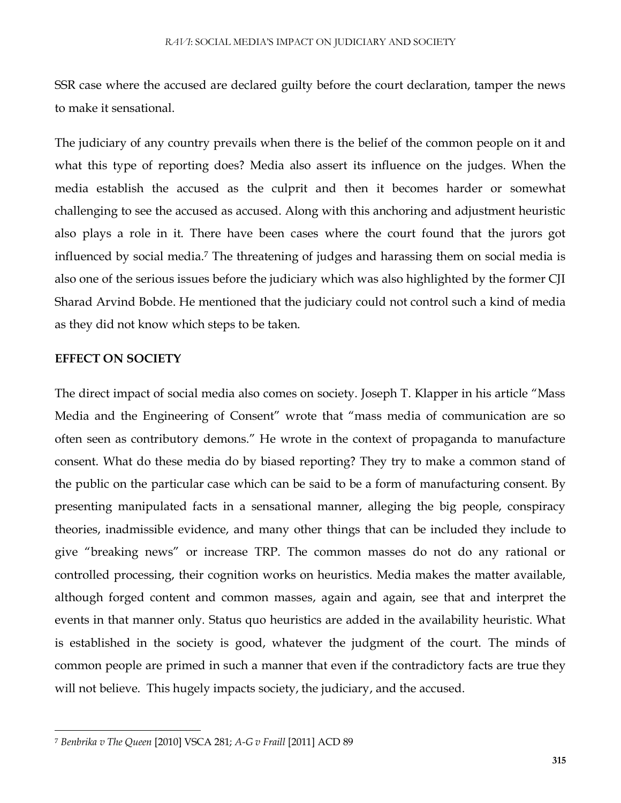SSR case where the accused are declared guilty before the court declaration, tamper the news to make it sensational.

The judiciary of any country prevails when there is the belief of the common people on it and what this type of reporting does? Media also assert its influence on the judges. When the media establish the accused as the culprit and then it becomes harder or somewhat challenging to see the accused as accused. Along with this anchoring and adjustment heuristic also plays a role in it. There have been cases where the court found that the jurors got influenced by social media.<sup>7</sup> The threatening of judges and harassing them on social media is also one of the serious issues before the judiciary which was also highlighted by the former CJI Sharad Arvind Bobde. He mentioned that the judiciary could not control such a kind of media as they did not know which steps to be taken.

### **EFFECT ON SOCIETY**

 $\overline{\phantom{a}}$ 

The direct impact of social media also comes on society. Joseph T. Klapper in his article "Mass Media and the Engineering of Consent" wrote that "mass media of communication are so often seen as contributory demons." He wrote in the context of propaganda to manufacture consent. What do these media do by biased reporting? They try to make a common stand of the public on the particular case which can be said to be a form of manufacturing consent. By presenting manipulated facts in a sensational manner, alleging the big people, conspiracy theories, inadmissible evidence, and many other things that can be included they include to give "breaking news" or increase TRP. The common masses do not do any rational or controlled processing, their cognition works on heuristics. Media makes the matter available, although forged content and common masses, again and again, see that and interpret the events in that manner only. Status quo heuristics are added in the availability heuristic. What is established in the society is good, whatever the judgment of the court. The minds of common people are primed in such a manner that even if the contradictory facts are true they will not believe. This hugely impacts society, the judiciary, and the accused.

<sup>7</sup> *Benbrika v The Queen* [2010] VSCA 281; *A-G v Fraill* [2011] ACD 89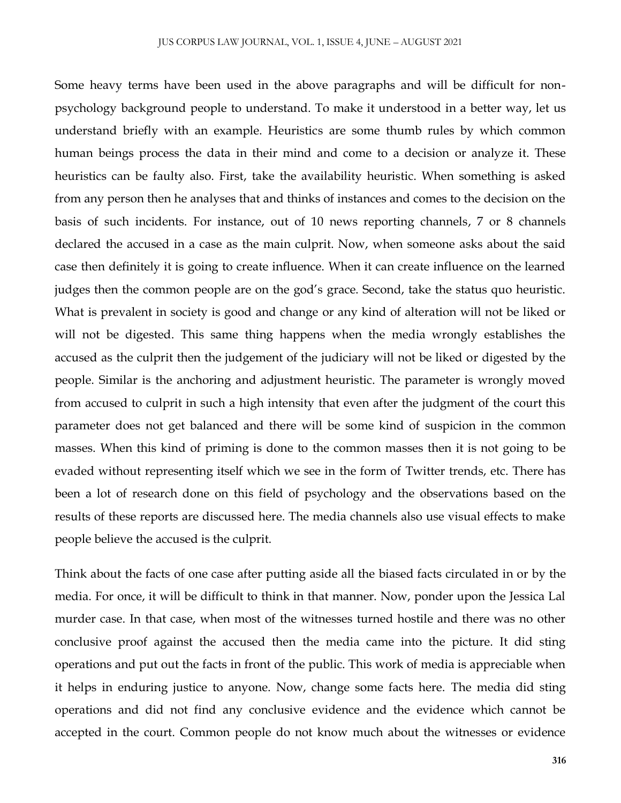Some heavy terms have been used in the above paragraphs and will be difficult for nonpsychology background people to understand. To make it understood in a better way, let us understand briefly with an example. Heuristics are some thumb rules by which common human beings process the data in their mind and come to a decision or analyze it. These heuristics can be faulty also. First, take the availability heuristic. When something is asked from any person then he analyses that and thinks of instances and comes to the decision on the basis of such incidents. For instance, out of 10 news reporting channels, 7 or 8 channels declared the accused in a case as the main culprit. Now, when someone asks about the said case then definitely it is going to create influence. When it can create influence on the learned judges then the common people are on the god's grace. Second, take the status quo heuristic. What is prevalent in society is good and change or any kind of alteration will not be liked or will not be digested. This same thing happens when the media wrongly establishes the accused as the culprit then the judgement of the judiciary will not be liked or digested by the people. Similar is the anchoring and adjustment heuristic. The parameter is wrongly moved from accused to culprit in such a high intensity that even after the judgment of the court this parameter does not get balanced and there will be some kind of suspicion in the common masses. When this kind of priming is done to the common masses then it is not going to be evaded without representing itself which we see in the form of Twitter trends, etc. There has been a lot of research done on this field of psychology and the observations based on the results of these reports are discussed here. The media channels also use visual effects to make people believe the accused is the culprit.

Think about the facts of one case after putting aside all the biased facts circulated in or by the media. For once, it will be difficult to think in that manner. Now, ponder upon the Jessica Lal murder case. In that case, when most of the witnesses turned hostile and there was no other conclusive proof against the accused then the media came into the picture. It did sting operations and put out the facts in front of the public. This work of media is appreciable when it helps in enduring justice to anyone. Now, change some facts here. The media did sting operations and did not find any conclusive evidence and the evidence which cannot be accepted in the court. Common people do not know much about the witnesses or evidence